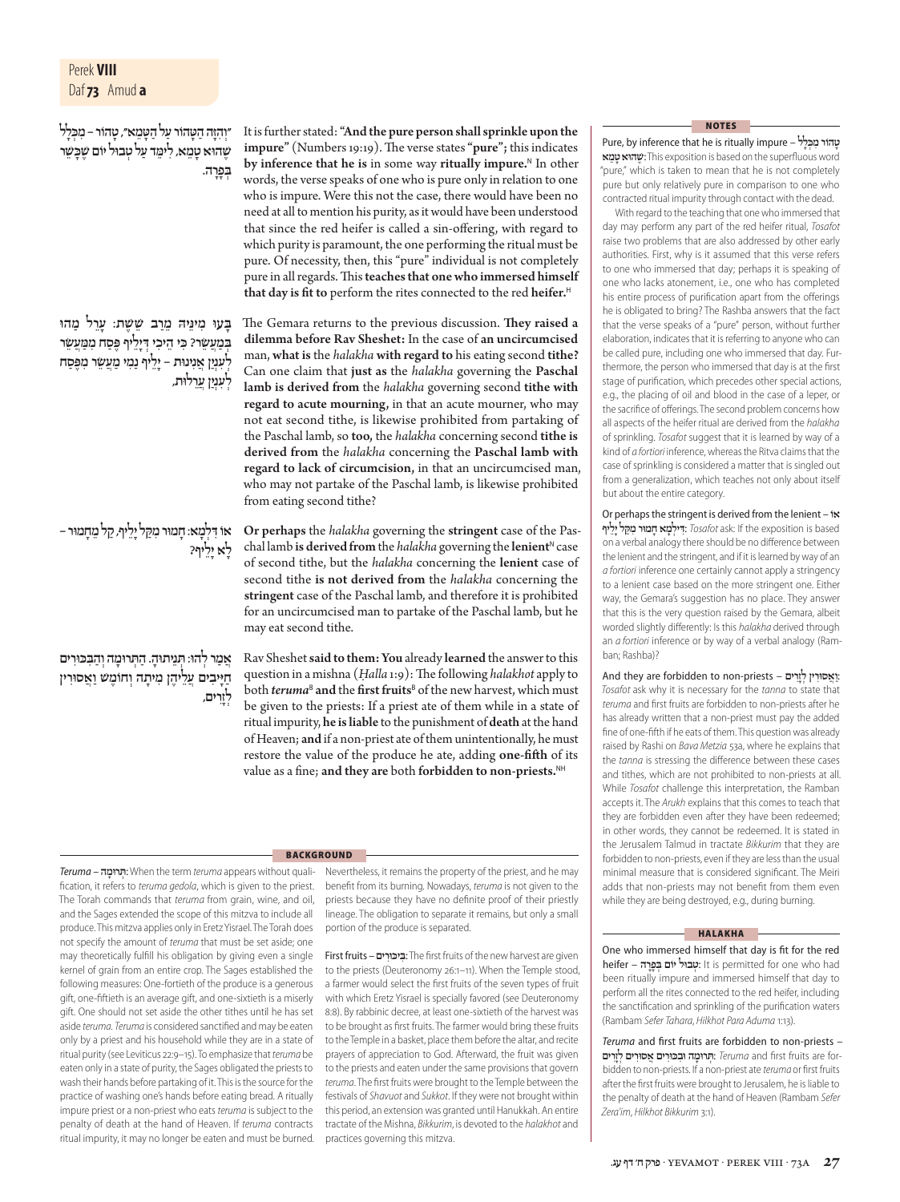# Perek **VIII** Daf **73** Amud **a**

**ּכָלל ְ״ו ִהָזּה ַה ָּטהוֹר ַעל ַה ָּטֵמא״, ָטהוֹר – ִמ ְ ּכֵׁשר ֶׁש ּהוא ָטֵמא, ִל ֵּימד ַעל ְט ּבול יוֹם ֶׁשָ ְּבָפָרה.**

**ָּב ּעו ִמ ֵּינ ּיה ֵמַרב ֵׁשֶׁשת: ָעֵרל ַמ ּהו ּכי ֵה ִיכי ְ ּדָיֵליף ֶּפַסח ִמ ַּמֲע ֵׂשר ְּבַמֲע ֵׂשר? ִ ְל ִעְנַין ֲאִנ ּ ינות – ָיֵליף ַנִמי ַמֲע ֵׂשר ִמֶּפַסח ְל ִעְנַיןֲעֵר ּלות,**

**אוֹ ִ ּד ְלָמא: ָח ּמור ִמַּקלָיֵליף, ַקל ֵמָח ּמור – ָלאָיֵליף?**

**ֲאַמר ְל ּהו: ְּתֵנ ּ יתוָה. ַה ְּת ּרוָמה ְוַה ִּב ּכּוִרים ַחָיּ ִיבים ֲעֵל ֶיהן ִמ ָיתה ְו ֶחוֹמׁשַוֲא ּסוִרין ְלָזִרים,** 

It is further stated: **"And the pure person shall sprinkle upon the impure"** (Numbers 19:19). The verse states "pure"; this indicates **by inference that he is in some way ritually impure.**<sup>N</sup> In other words, the verse speaks of one who is pure only in relation to one who is impure. Were this not the case, there would have been no need at all to mention his purity, as itwould have been understood that since the red heifer is called a sin-offering, with regard to which purity is paramount, the one performing the ritual must be pure. Of necessity, then, this "pure" individual is not completely pure in all regards. This teaches that one who immersed himself that day is fit to perform the rites connected to the red heifer.<sup>H</sup>

The Gemara returns to the previous discussion. They raised a **dilemma before Rav Sheshet:** In the case of **an uncircumcised**  man, **what is** the *halakha* **with regard to** his eating second **tithe?**  Can one claim that **just as** the *halakha* governing the **Paschal lamb is derived from** the *halakha* governing second **tithe with regard to acute mourning,** in that an acute mourner, who may not eat second tithe, is likewise prohibited from partaking of the Paschal lamb, so **too,** the *halakha* concerning second **tithe is derived from** the *halakha* concerning the **Paschal lamb with regard to lack of circumcision,** in that an uncircumcised man, who may not partake of the Paschal lamb, is likewise prohibited from eating second tithe?

**Or perhaps** the *halakha* governing the **stringent** case of the Paschal lamb is derived from the *halakha* governing the lenient<sup>N</sup> case of second tithe, but the *halakha* concerning the **lenient** case of second tithe **is not derived from** the *halakha* concerning the **stringent** case of the Paschal lamb, and therefore it is prohibited for an uncircumcised man to partake of the Paschal lamb, but he may eat second tithe.

Rav Sheshet**said to them: You** already **learned** the answer to this question in a mishna (*Ḥalla* 1:9): The following *halakhot* apply to both *teruma*<sup>B</sup> and the first fruits<sup>B</sup> of the new harvest, which must be given to the priests: If a priest ate of them while in a state of ritual impurity, **he is liable** to the punishment of **death** at the hand of Heaven; **and** if a non-priest ate of them unintentionally, he must restore the value of the produce he ate, adding **one-fift h** of its value as a fine; and they are both forbidden to non-priests.<sup>NH</sup>

## **BACKGROUND**

*Teruma* – **מהָרוּ תְּ** : When the term *teruma* appearswithout qualification, it refers to *teruma gedola*, which is given to the priest. The Torah commands that *teruma* from grain, wine, and oil, and the Sages extended the scope of this mitzva to include all produce. This mitzva applies only in Eretz Yisrael. The Torah does not specify the amount of *teruma* that must be set aside; one may theoretically fulfill his obligation by giving even a single kernel of grain from an entire crop. The Sages established the following measures: One-fortieth of the produce is a generous gift, one-fiftieth is an average gift, and one-sixtieth is a miserly gift. One should not set aside the other tithes until he has set aside *teruma. Teruma* is considered sanctified and may be eaten only by a priest and his household while they are in a state of ritual purity (see Leviticus 22:9–15). To emphasize that *teruma* be eaten only in a state of purity, the Sages obligated the priests to wash their hands before partaking of it. This is the source for the practice of washing one's hands before eating bread. A ritually impure priest or a non-priest who eats *teruma* is subject to the penalty of death at the hand of Heaven. If *teruma* contracts ritual impurity, it may no longer be eaten and must be burned. Nevertheless, it remains the property of the priest, and he may benefit from its burning. Nowadays, *teruma* is not given to the priests because they have no definite proof of their priestly lineage. The obligation to separate it remains, but only a small portion of the produce is separated.

 First fruits – **ריםִוּיכּ בִּ** : The first fruits of the new harvest are given to the priests (Deuteronomy 26:1–11). When the Temple stood, a farmer would select the first fruits of the seven types of fruit with which Eretz Yisrael is specially favored (see Deuteronomy 8:8). By rabbinic decree, at least one-sixtieth of the harvest was to be brought as first fruits. The farmer would bring these fruits to the Temple in a basket, place them before the altar, and recite prayers of appreciation to God. Afterward, the fruit was given to the priests and eaten under the same provisions that govern *teruma*. The first fruits were brought to the Temple between the festivals of *Shavuot* and *Sukkot*. If they were not brought within this period, an extension was granted until Hanukkah. An entire tractate of the Mishna, *Bikkurim*, is devoted to the *halakhot* and practices governing this mitzva.



 Pure, by inference that he is ritually impure – **ללָכּ ָטהוֹר ִמ ְמאֵטָ הואּ שֶׁ** : This exposition is based on the superfluous word "pure," which is taken to mean that he is not completely pure but only relatively pure in comparison to one who contracted ritual impurity through contact with the dead.

With regard to the teaching that one who immersed that day may perform any part of the red heifer ritual, *Tosafot* raise two problems that are also addressed by other early authorities. First, why is it assumed that this verse refers to one who immersed that day; perhaps it is speaking of one who lacks atonement, i.e., one who has completed his entire process of purification apart from the offerings he is obligated to bring? The Rashba answers that the fact that the verse speaks of a "pure" person, without further elaboration, indicates that it is referring to anyone who can be called pure, including one who immersed that day. Furthermore, the person who immersed that day is at the first stage of purification, which precedes other special actions, e.g., the placing of oil and blood in the case of a leper, or the sacrifice of offerings. The second problem concerns how all aspects of the heifer ritual are derived from the *halakha*  of sprinkling. *Tosafot* suggest that it is learned by way of a kind of *a fortiori* inference, whereas the Ritva claims that the case of sprinkling is considered a matter that is singled out from a generalization, which teaches not only about itself but about the entire category.

 Or perhaps the stringent is derived from the lenient – **אוֹ** based is exposition the If :ask *Tosafot* **ִ**: **ּד ְילָמא ָח ּמור ִמַּקלָיֵליף** on a verbal analogy there should be no difference between the lenient and the stringent, and if it is learned by way of an *a fortiori* inference one certainly cannot apply a stringency to a lenient case based on the more stringent one. Either way, the Gemara's suggestion has no place. They answer that this is the very question raised by the Gemara, albeit worded slightly differently: Is this *halakha* derived through an *a fortiori* inference or by way of a verbal analogy (Ramban; Rashba)?

**ַ**:**וֲא ּסוִרין ְלָזִרים** – priests-non to forbidden are they And *Tosafot* ask why it is necessary for the *tanna* to state that *teruma* and first fruits are forbidden to non-priests after he has already written that a non-priest must pay the added fine of one-fifth if he eats of them. This question was already raised by Rashi on *Bava Metzia* 53a, where he explains that the *tanna* is stressing the difference between these cases and tithes, which are not prohibited to non-priests at all. While *Tosafot* challenge this interpretation, the Ramban accepts it. The *Arukh* explains that this comes to teach that they are forbidden even after they have been redeemed; in other words, they cannot be redeemed. It is stated in the Jerusalem Talmud in tractate *Bikkurim* that they are forbidden to non-priests, even if they are less than the usual minimal measure that is considered significant. The Meiri adds that non-priests may not benefit from them even while they are being destroyed, e.g., during burning.

#### **HALAKHA**

 One who immersed himself that day is fit for the red heifer – **רהָפָבְּ יוֹם בולּ טְ** : It is permitted for one who had been ritually impure and immersed himself that day to perform all the rites connected to the red heifer, including the sanctification and sprinkling of the purification waters (Rambam *Sefer Tahara*, *Hilkhot Para Aduma* 1:13).

*Teruma* and first fruits are forbidden to non-priests – **ריםִזָלְ ריםִסוּ אֲ ריםִוּכּ בִוּ מהָרוּ תְּ** : *Teruma* and first fruits are forbidden to non-priests. If a non-priest ate *teruma* or first fruits after the first fruits were brought to Jerusalem, he is liable to the penalty of death at the hand of Heaven (Rambam *Sefer Zera'im*, *Hilkhot Bikkurim* 3:1).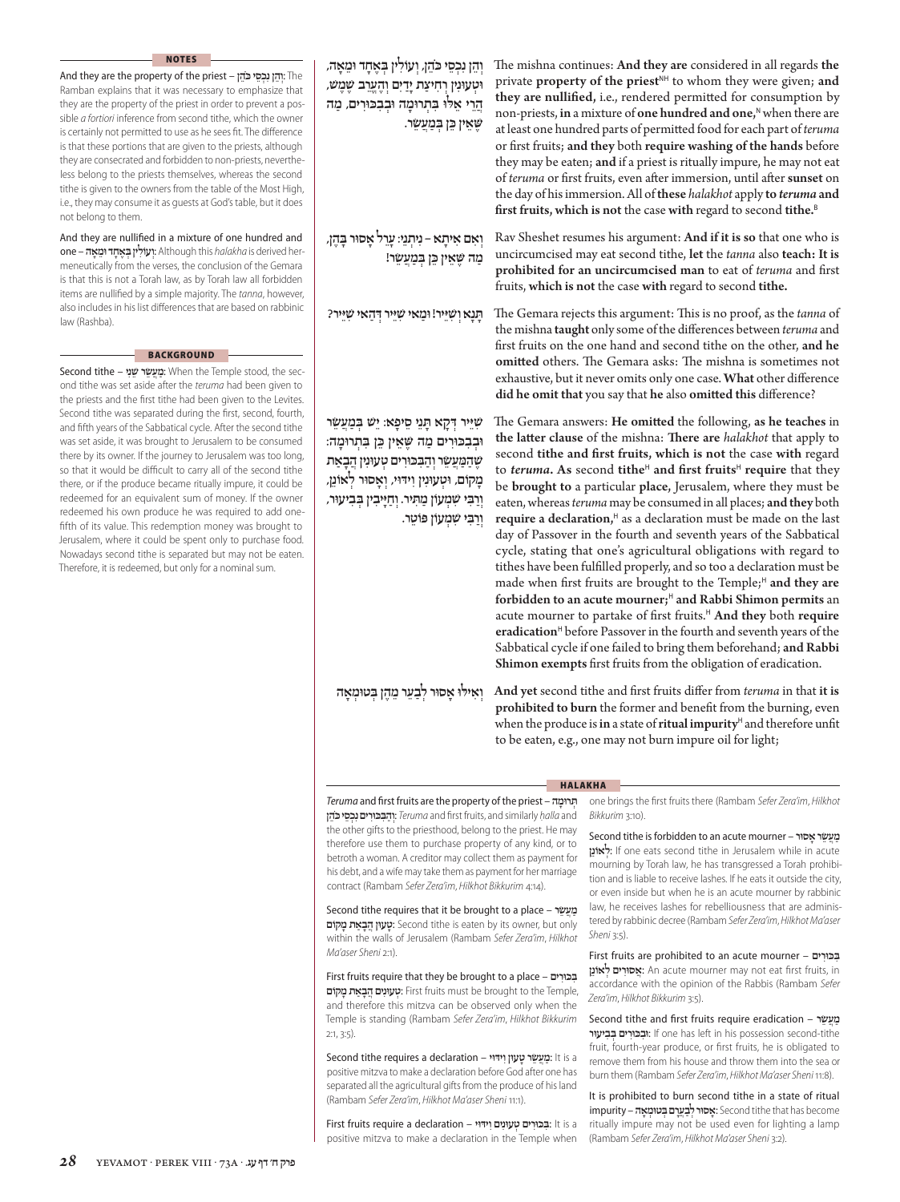| <b>NOTES</b><br>The : יְהֵן נְכָסֵי כֹּהֵן - And they are the property of the priest<br>Ramban explains that it was necessary to emphasize that<br>they are the property of the priest in order to prevent a pos-<br>sible a fortiori inference from second tithe, which the owner<br>is certainly not permitted to use as he sees fit. The difference<br>is that these portions that are given to the priests, although<br>they are consecrated and forbidden to non-priests, neverthe-<br>less belong to the priests themselves, whereas the second<br>tithe is given to the owners from the table of the Most High,<br>i.e., they may consume it as guests at God's table, but it does<br>not belong to them.                                                                                                                                                                                                                                                                                                                                                                                                                                                                                                                                                                                                                                                                                                    | וְהֵן נִכְסֵי כֹּהֶן, וְעוֹלְין בְּאֲחָד וּמֵאֲה,<br>וּטְעוּנִין רְחִיצַת יָדַיִם וְהֶעֱרֵב שֶׁמֶשׁ,<br>הֲרֵי אֵלוּ בִּתְרוּמָה וּבְבִכּוּרִים, מַה<br>שֶׁאֵין כֵּן בְּמַעֲשֶׂר.                                                                                                                | The mishna continues: And they are considered in all regards the<br>private property of the priest <sup>NH</sup> to whom they were given; and<br>they are nullified, i.e., rendered permitted for consumption by<br>non-priests, in a mixture of one hundred and one, <sup>N</sup> when there are<br>at least one hundred parts of permitted food for each part of teruma<br>or first fruits; and they both require washing of the hands before<br>they may be eaten; and if a priest is ritually impure, he may not eat<br>of teruma or first fruits, even after immersion, until after sunset on<br>the day of his immersion. All of these halakhot apply to teruma and<br>first fruits, which is not the case with regard to second tithe. <sup>B</sup>                                                                                                                                                                                                                                                                                                                                                                                                                                                            |
|---------------------------------------------------------------------------------------------------------------------------------------------------------------------------------------------------------------------------------------------------------------------------------------------------------------------------------------------------------------------------------------------------------------------------------------------------------------------------------------------------------------------------------------------------------------------------------------------------------------------------------------------------------------------------------------------------------------------------------------------------------------------------------------------------------------------------------------------------------------------------------------------------------------------------------------------------------------------------------------------------------------------------------------------------------------------------------------------------------------------------------------------------------------------------------------------------------------------------------------------------------------------------------------------------------------------------------------------------------------------------------------------------------------------|-------------------------------------------------------------------------------------------------------------------------------------------------------------------------------------------------------------------------------------------------------------------------------------------------|-----------------------------------------------------------------------------------------------------------------------------------------------------------------------------------------------------------------------------------------------------------------------------------------------------------------------------------------------------------------------------------------------------------------------------------------------------------------------------------------------------------------------------------------------------------------------------------------------------------------------------------------------------------------------------------------------------------------------------------------------------------------------------------------------------------------------------------------------------------------------------------------------------------------------------------------------------------------------------------------------------------------------------------------------------------------------------------------------------------------------------------------------------------------------------------------------------------------------|
| And they are nullified in a mixture of one hundred and<br>one – יָעוֹלִין בְּאֵחֲד וּמֵאַה: Although this <i>halakha</i> is derived her-<br>meneutically from the verses, the conclusion of the Gemara<br>is that this is not a Torah law, as by Torah law all forbidden<br>items are nullified by a simple majority. The tanna, however,<br>also includes in his list differences that are based on rabbinic<br>law (Rashba).<br><b>BACKGROUND</b><br>Second tithe – יִמַעֲשֵׂר When the Temple stood, the sec-<br>ond tithe was set aside after the teruma had been given to<br>the priests and the first tithe had been given to the Levites.<br>Second tithe was separated during the first, second, fourth,<br>and fifth years of the Sabbatical cycle. After the second tithe<br>was set aside, it was brought to Jerusalem to be consumed<br>there by its owner. If the journey to Jerusalem was too long,<br>so that it would be difficult to carry all of the second tithe<br>there, or if the produce became ritually impure, it could be<br>redeemed for an equivalent sum of money. If the owner<br>redeemed his own produce he was required to add one-<br>fifth of its value. This redemption money was brought to<br>Jerusalem, where it could be spent only to purchase food.<br>Nowadays second tithe is separated but may not be eaten.<br>Therefore, it is redeemed, but only for a nominal sum. | וְאִם אִיתָא – נִיתְגֵי: עֲרֵל אָסוּר בַּהֵן,<br>מַה שֶׁאֵין כֵּן בְּמַעֲשָׂר!                                                                                                                                                                                                                  | Rav Sheshet resumes his argument: And if it is so that one who is<br>uncircumcised may eat second tithe, let the tanna also teach: It is<br>prohibited for an uncircumcised man to eat of teruma and first<br>fruits, which is not the case with regard to second tithe.                                                                                                                                                                                                                                                                                                                                                                                                                                                                                                                                                                                                                                                                                                                                                                                                                                                                                                                                              |
|                                                                                                                                                                                                                                                                                                                                                                                                                                                                                                                                                                                                                                                                                                                                                                                                                                                                                                                                                                                                                                                                                                                                                                                                                                                                                                                                                                                                                     | תנא ושייר! ומאי שייר דהאי שייר?                                                                                                                                                                                                                                                                 | The Gemara rejects this argument: This is no proof, as the tanna of<br>the mishna taught only some of the differences between teruma and<br>first fruits on the one hand and second tithe on the other, and he<br>omitted others. The Gemara asks: The mishna is sometimes not<br>exhaustive, but it never omits only one case. What other difference<br>did he omit that you say that he also omitted this difference?                                                                                                                                                                                                                                                                                                                                                                                                                                                                                                                                                                                                                                                                                                                                                                                               |
|                                                                                                                                                                                                                                                                                                                                                                                                                                                                                                                                                                                                                                                                                                                                                                                                                                                                                                                                                                                                                                                                                                                                                                                                                                                                                                                                                                                                                     | שְׁיֵּיר דְּקָא תָּנֵי סֵיפָא: יֵשׁ בִּמַעֲשֶׂר<br>וּבְבִכּוּרִים מַה שֶׁאֵין כֵּן בְּתְרוּמָה:<br>שֶׁהַמַּעֲשֵׂר וְהַבִּכּוּרִים טְעוּנִין הֲבָאַת<br>מָקוֹם, וּטְעוּנִין וִידּוּי, וְאָסוּר לְאוֹנֵן,<br>וְרַבִּי שִׁמְעוֹן מַתִּיר. וְחַיָּיִבִין בְּבִיעוּר,<br>וְרַבִּי שְׁמְעוֹן פּוֹטֵר. | The Gemara answers: He omitted the following, as he teaches in<br>the latter clause of the mishna: There are halakhot that apply to<br>second tithe and first fruits, which is not the case with regard<br>to teruma. As second tithe <sup>H</sup> and first fruits <sup>H</sup> require that they<br>be brought to a particular place, Jerusalem, where they must be<br>eaten, whereas teruma may be consumed in all places; and they both<br>require a declaration, <sup>H</sup> as a declaration must be made on the last<br>day of Passover in the fourth and seventh years of the Sabbatical<br>cycle, stating that one's agricultural obligations with regard to<br>tithes have been fulfilled properly, and so too a declaration must be<br>made when first fruits are brought to the Temple; <sup>H</sup> and they are<br>forbidden to an acute mourner; <sup>H</sup> and Rabbi Shimon permits an<br>acute mourner to partake of first fruits. <sup>H</sup> And they both require<br>eradication <sup>H</sup> before Passover in the fourth and seventh years of the<br>Sabbatical cycle if one failed to bring them beforehand; and Rabbi<br>Shimon exempts first fruits from the obligation of eradication. |
|                                                                                                                                                                                                                                                                                                                                                                                                                                                                                                                                                                                                                                                                                                                                                                                                                                                                                                                                                                                                                                                                                                                                                                                                                                                                                                                                                                                                                     | וְאִילוּ אָסוּר לְבַעֵר מֵהֶן בְּטוּמְאָה                                                                                                                                                                                                                                                       | And yet second tithe and first fruits differ from teruma in that it is<br>prohibited to burn the former and benefit from the burning, even<br>when the produce is in a state of ritual impurity <sup>H</sup> and therefore unfit<br>to be eaten, e.g., one may not burn impure oil for light;                                                                                                                                                                                                                                                                                                                                                                                                                                                                                                                                                                                                                                                                                                                                                                                                                                                                                                                         |
|                                                                                                                                                                                                                                                                                                                                                                                                                                                                                                                                                                                                                                                                                                                                                                                                                                                                                                                                                                                                                                                                                                                                                                                                                                                                                                                                                                                                                     |                                                                                                                                                                                                                                                                                                 | <b>HALAKHA</b>                                                                                                                                                                                                                                                                                                                                                                                                                                                                                                                                                                                                                                                                                                                                                                                                                                                                                                                                                                                                                                                                                                                                                                                                        |

*Teruma* and first fruits are the property of the priest – **מהָרוּ תְּ** and *ĥalla* similarly and ,fruits first and *Teruma* **ְ**:**וַה ִּב ּכּוִרים ִנְכֵסי ּכֵֹהן** the other gifts to the priesthood, belong to the priest. He may therefore use them to purchase property of any kind, or to betroth a woman. A creditor may collect them as payment for his debt, and a wife may take them as payment for her marriage contract (Rambam *Sefer Zera'im*, *Hilkhot Bikkurim* 4:14).

 Second tithe requires that it be brought to a place – **שרֵׂעֲמַ מקוֹםָ אתַבָהֲעוןּ טָ**: Second tithe is eaten by its owner, but only within the walls of Jerusalem (Rambam *Sefer Zera'im*, *Hilkhot Ma'aser Sheni* 2:1).

 First fruits require that they be brought to a place – **ריםִוּכּ בִּ מקוֹםָ אתַבָהֲ ניםִעוּ טְ** : First fruits must be brought to the Temple, and therefore this mitzva can be observed only when the Temple is standing (Rambam *Sefer Zera'im*, *Hilkhot Bikkurim* 2:1, 3:5).

 a is It **ַ**:**מֲעֵׂשר ָט ּעון ִו ּידּוי** – declaration a requires tithe Second positive mitzva to make a declaration before God after one has separated all the agricultural gifts from the produce of his land (Rambam *Sefer Zera'im*, *Hilkhot Ma'aser Sheni* 11:1).

 a is It : **ִּב ּכּוִרים ְט ּעוִנים ִו ּידּוי** – declaration a require fruits First positive mitzva to make a declaration in the Temple when one brings the first fruits there (Rambam *Sefer Zera'im*, *Hilkhot Bikkurim* 3:10).

 Second tithe is forbidden to an acute mourner – **סורּ אָ שרֵׂעֲמַ אוֹנןֵ לְ** : If one eats second tithe in Jerusalem while in acute mourning by Torah law, he has transgressed a Torah prohibition and is liable to receive lashes. If he eats it outside the city, or even inside but when he is an acute mourner by rabbinic law, he receives lashes for rebelliousness that are administered by rabbinic decree (Rambam *Sefer Zera'im*, *Hilkhot Ma'aser Sheni* 3:5).

 First fruits are prohibited to an acute mourner – **ריםִוּכּ בִּ אוֹנןֵ לְ ריםִסוּ אֲ**: An acute mourner may not eat first fruits, in accordance with the opinion of the Rabbis (Rambam *Sefer Zera'im*, *Hilkhot Bikkurim* 3:5).

 Second tithe and first fruits require eradication – **שרֵׂ עֲמַ יעור ּ בִ בְּ ריםִוּכּ בִוּ**: If one has left in his possession second-tithe fruit, fourth-year produce, or first fruits, he is obligated to remove them from his house and throw them into the sea or burn them (Rambam *Sefer Zera'im*, *Hilkhot Ma'aser Sheni* 11:8).

 It is prohibited to burn second tithe in a state of ritual become has that tithe Second **ָ**:**א ּסור ְלַבֲעָרם ְּב ּטו ְמָאה** – impurity ritually impure may not be used even for lighting a lamp (Rambam *Sefer Zera'im*, *Hilkhot Ma'aser Sheni* 3:2).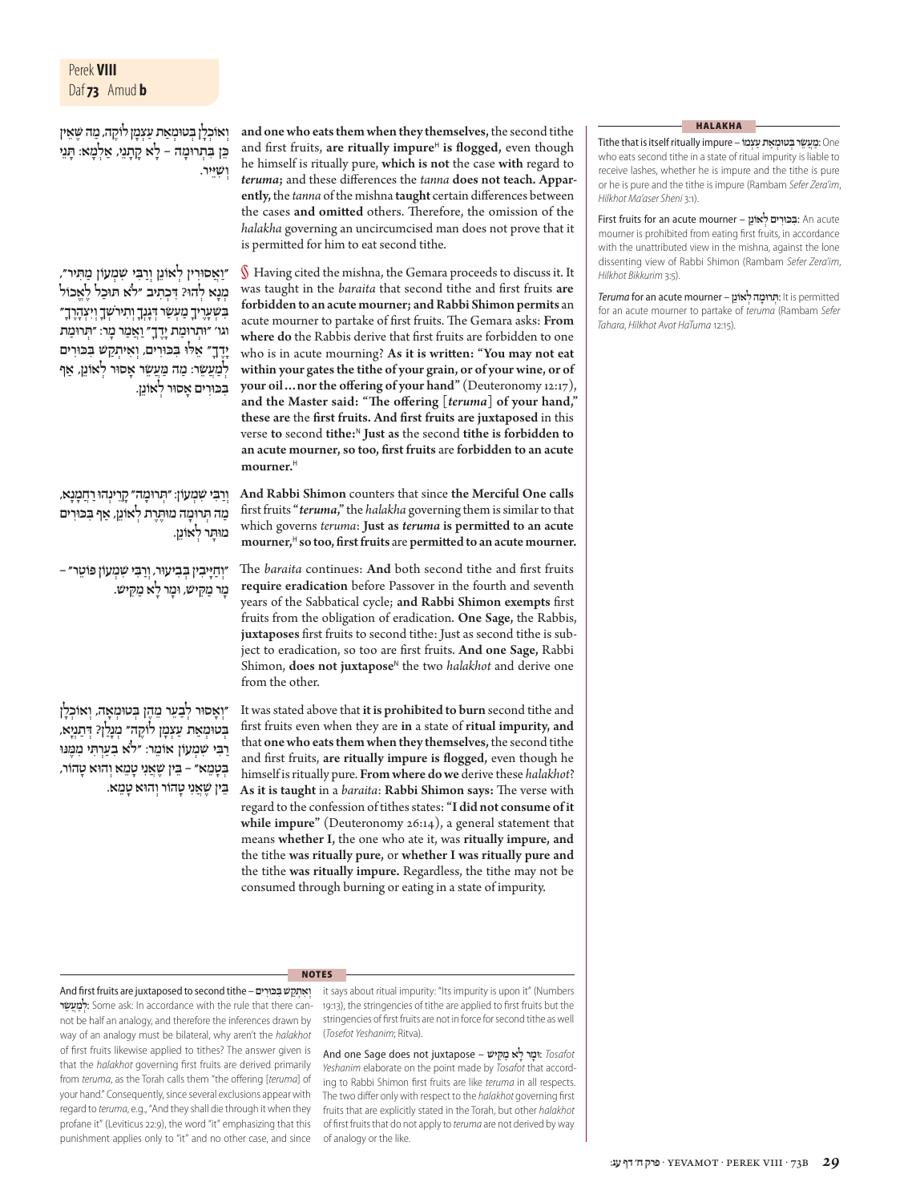| Perek <b>VIII</b> |               |
|-------------------|---------------|
|                   | Daf 73 Amud b |

**ְו ְאוֹכָלן ְּב ּטו ְמַאת ַע ְצָמן ֶלוֹקה, ַמה ֶּׁשֵאין ּכן ִּב ְת ּרוָמה – ָלא ָקָתֵני, ַאְלָמא: ָּתֵני ֵ ְו ׁ ִשֵיּיר.**

**ַ״וֲא ּסוִרין ְל ֵאוֹנן ְוַרִּבי ׁ ִש ְמעוֹן ַמ ִּתיר״, ְמָנא ְל ּהו? ִ ּד ְכ ִתיב ״לֹא ּתּוַכל ֶלֱאכוֹל ִּבׁ ְשָעֶר ָיך ַמ ְע ַׂשרְ ּדָגְנָך ְו ִתירֹ ְשָך ְוִי ְצָהֶרָך״ וגו׳ ּ״ו ְת ּרוַמתָיֶדָך״ַוֲאַמר ָמר: ְּ״ת ּרוַמת ָיֶדָך״ ֵא ּלּו ִּב ּכּוִרים, ְו ִא ְיתַק ׁש ִּב ּכּוִרים ְלַמֲע ֵׂשר: ַמה ַּמֲע ֵׂשר ָא ּסור ְל ֵאוֹנן, ַאף ִּב ּכּוִרים ָא ּסור ְל ֵאוֹנן.** 

**ְוַרִּבי ׁ ִשְמעוֹן: ְּ״ת ּרוָמה״ָקֵר ְינ ּהוַרֲחָמָנא, ַמה ְּת ּרוָמה ּמו ֶּתֶרת ְל ֵאוֹנן, ַאף ִּב ּכּוִרים ּמו ָּתר ְל ֵאוֹנן.** 

**ְ״וַחָיּ ִיבין ְּב ִב ּ יעור, ְוַרִּבי ׁ ִשְמעוֹן ּפ ֵוֹטר״ – ָמר ַמ ִּק ׁיש, ּוָמרָלא ַמ ִּק ׁיש.**

**ְ״וָא ּסור ְלַבֵער ֵמֶהן ְּב ּטו ְמָאה, ְו ְאוֹכָלן ְּב ּטו ְמַאת ַע ְצָמן ֶלוֹקה״ ְמָנַלן? ְ ּדַתְנָיא, ַרִּבי ׁ ִש ְמעוֹן ֵאוֹמר: ״לֹא ִבַעְרִּתי ִמ ֶּמּנּו ְּבָטֵמא״ – ֵּבין ֶׁשֲאִני ָטֵמא ְו ּהוא ָטהוֹר, ֵּבין ֶׁשֲאִני ָטהוֹרְו ּהוא ָטֵמא.** 

**and one who eats them when they themselves,** the second tithe and first fruits, are ritually impure<sup>H</sup> is flogged, even though he himself is ritually pure, **which is not** the case **with** regard to teruma; and these differences the *tanna* does not teach. Apparently, the *tanna* of the mishna **taught** certain differences between the cases and omitted others. Therefore, the omission of the *halakha* governing an uncircumcised man does not prove that it is permitted for him to eat second tithe.

§ Having cited the mishna, the Gemara proceeds to discuss it. It was taught in the *baraita* that second tithe and first fruits are **forbidden to an acute mourner; and Rabbi Shimon permits** an acute mourner to partake of first fruits. The Gemara asks: From where do the Rabbis derive that first fruits are forbidden to one who is in acute mourning? As it is written: "You may not eat **within your gates the tithe of your grain, or of your wine, or of**  your oil ... nor the offering of your hand" (Deuteronomy 12:17), and the Master said: "The offering [teruma] of your hand," **these are** the **fi rst fruits. And fi rst fruits are juxtaposed** in this verse to second tithe:<sup>N</sup> Just as the second tithe is forbidden to **an acute mourner, so too, fi rst fruits** are **forbidden to an acute mourner.**<sup>H</sup>

**And Rabbi Shimon** counters that since **the Merciful One calls**  fi rst fruits **"***teruma***,"** the *halakha* governing them is similar to that which governs *teruma*: **Just as** *teruma* **is permitt ed to an acute mourner,**<sup>H</sup>**so too, fi rst fruits** are **permitt ed to an acute mourner.**

The *baraita* continues: And both second tithe and first fruits **require eradication** before Passover in the fourth and seventh years of the Sabbatical cycle; and Rabbi Shimon exempts first fruits from the obligation of eradication. **One Sage,** the Rabbis, juxtaposes first fruits to second tithe: Just as second tithe is subject to eradication, so too are first fruits. And one Sage, Rabbi Shimon, **does not juxtapose**<sup>N</sup> the two *halakhot* and derive one from the other.

It was stated above that **it is prohibited to burn** second tithe and first fruits even when they are in a state of ritual impurity, and that **one who eats them when they themselves,** the second tithe and first fruits, are ritually impure is flogged, even though he himself is ritually pure. **From where do we** derive these *halakhot*? As it is taught in a *baraita*: Rabbi Shimon says: The verse with regard to the confession of tithes states: **"I did not consume of it**  while impure" (Deuteronomy 26:14), a general statement that means **whether I,** the one who ate it, was **ritually impure, and**  the tithe **was ritually pure,** or **whether I was ritually pure and**  the tithe **was ritually impure.** Regardless, the tithe may not be consumed through burning or eating in a state of impurity.

## **NOTES**

 $A$ nd first fruits are iuxtaposed to second tithe – **ואתקשׁ בּבּוּרים שרֵׂעֲמַלְ** : Some ask: In accordance with the rule that there cannot be half an analogy, and therefore the inferences drawn by way of an analogy must be bilateral, why aren't the *halakhot*  of first fruits likewise applied to tithes? The answer given is that the *halakhot* governing first fruits are derived primarily from *teruma*, as the Torah calls them "the offering [*teruma*] of your hand." Consequently, since several exclusions appear with regard to *teruma*, e.g., "And they shall die through it when they profane it" (Leviticus 22:9), the word "it" emphasizing that this punishment applies only to "it" and no other case, and since

it says about ritual impurity: "Its impurity is upon it" (Numbers 19:13), the stringencies of tithe are applied to first fruits but the stringencies of first fruits are not in force for second tithe as well (*Tosefot Yeshanim*; Ritva).

 And one Sage does not juxtapose – **ישׁ קִּ מַ לאָ מרָוּ**: *Tosafot Yeshanim* elaborate on the point made by *Tosafot* that according to Rabbi Shimon first fruits are like *teruma* in all respects. The two differ only with respect to the *halakhot* governing first fruits that are explicitly stated in the Torah, but other *halakhot*  of first fruits that do not apply to *teruma* are not derived by way of analogy or the like.

#### **HALAKHA**

 One **ַ**:**מֲעֵׂשר ְּב ּטו ְמַאת ַע ְצמוֹ** – impure ritually itself is that Tithe who eats second tithe in a state of ritual impurity is liable to receive lashes, whether he is impure and the tithe is pure or he is pure and the tithe is impure (Rambam *Sefer Zera'im*, *Hilkhot Ma'aser Sheni* 3:1).

 First fruits for an acute mourner – **אוֹנןֵ לְ ריםִוּכּ בִּ** : An acute mourner is prohibited from eating first fruits, in accordance with the unattributed view in the mishna, against the lone dissenting view of Rabbi Shimon (Rambam *Sefer Zera'im*, *Hilkhot Bikkurim* 3:5).

*Teruma* for an acute mourner – **אוֹנןֵ לְ מהָרוּ תְּ** : It is permitted for an acute mourner to partake of *teruma* (Rambam *Sefer Tahara*, *Hilkhot Avot HaTuma* 12:15).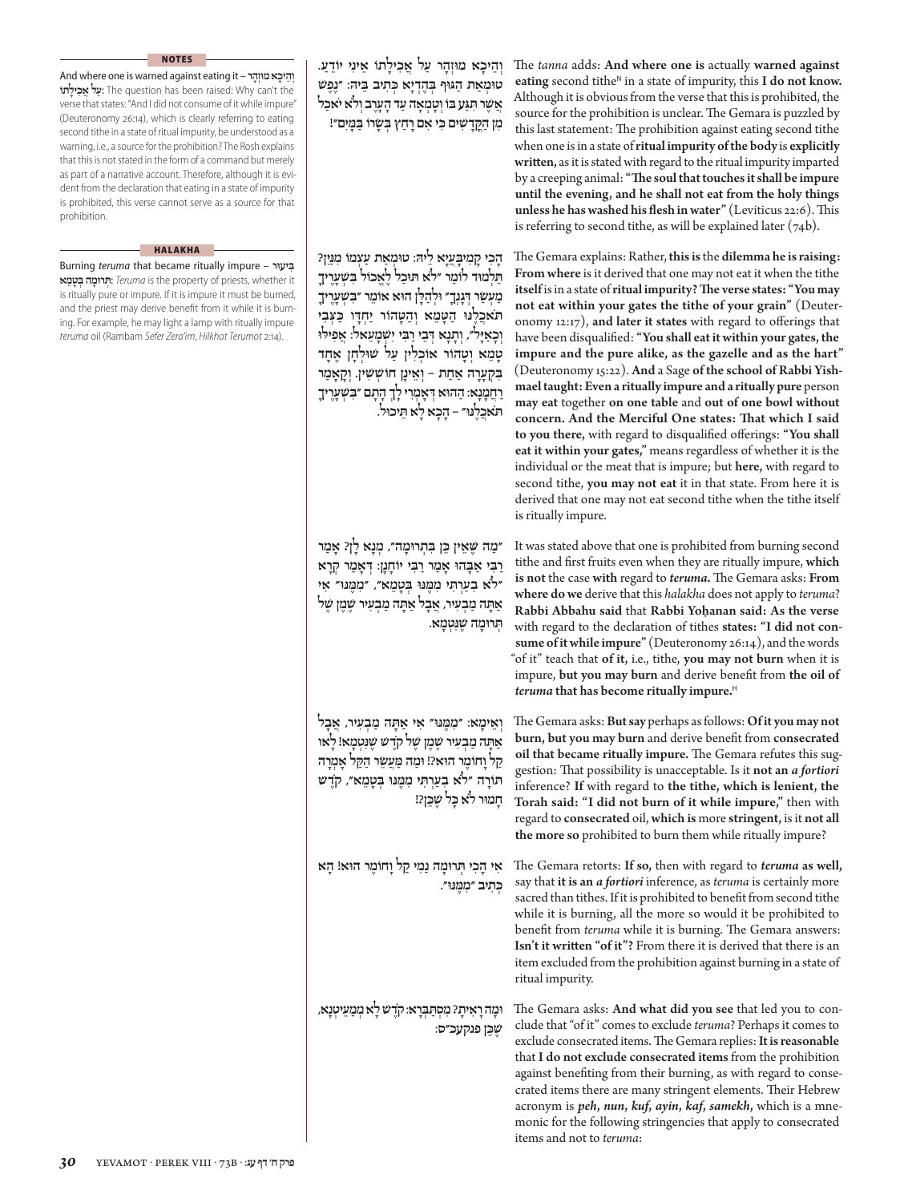## **NOTES**

 And where one is warned against eating it – **הרָזְמוּ יכאָ הֵוְ ילתוָֹ כִ אֲ עלַ**: The question has been raised: Why can't the verse that states: "And I did not consume of it while impure" (Deuteronomy 26:14), which is clearly referring to eating second tithe in a state of ritual impurity, be understood as a warning, i.e., a source for the prohibition? The Rosh explains that this is not stated in the form of a command but merely as part of a narrative account. Therefore, although it is evident from the declaration that eating in a state of impurity is prohibited, this verse cannot serve as a source for that prohibition.

## **HALAKHA**

 Burning *teruma* that became ritually impure – **יעור ּ בִּ מאֵטָבְּ מהָרוּ תְּ** : *Teruma* is the property of priests, whether it is ritually pure or impure. If it is impure it must be burned, and the priest may derive benefit from it while it is burning. For example, he may light a lamp with ritually impure *teruma* oil (Rambam *Sefer Zera'im*, *Hilkhot Terumot* 2:14).

**ְוֵה ָיכא ּמוְזָהר ַעל ֲא ִכ ָילתוֹ ֵא ִיני ֵ יוֹדע. ּכ ִתיב ֵּב ּיה: ֶ״נֶפׁש ּטו ְמַאת ַה ּגּוף ְּבֶהְדָיא ְ ֲאֶׁשר ִּתַּגע ּבוֹ ְוָט ְמָאה ַעד ָהָעֶרב ְולֹא יֹ ַאכל ּכי ִאםָרַחץ ְּב ָׂשרוֹ ַּב ָּמִים״! ִמן ַהֳּקָד ׁ ִשים ִ**

**ָה ִכי ָק ִמ ָּיבֲעָיא ֵל ּיה: ּטו ְמַאת ַע ְצמוֹ ִמַּנִין? ַּתְל ּמוד ַלוֹמר ״לֹא ּתּוַכל ֶלֱאכוֹל ִּבׁ ְשָעֶר ָיך ַמ ְע ַׂשר ְ ּדָגְנָך״ ּוְלַהָּלן ּהוא ֵאוֹמר ִּ״בׁ ְשָעֶר ָיך ּכ ּצְ ִבי ּתֹ ֲאכֶל ּנּו ַה ָּטֵמא ְוַה ָּטהוֹר ַי ְחָּדו ַ ְוָכַאָיּל״, ְוָתָנא ְ ּדֵבי ַרִּבי ִיׁ ְשָמֵעאל: ֲא ִפ ּילּו ָטֵמא ְוָטהוֹר ְאוֹכ ִלין ַעל ׁשּו ְלָחן ֶאָחד ִּב ְקָעָרה ַאַחת – ְוֵא ָינן ׁ ְ חוֹשׁ ִשין. ְוָקָאַמר ַרֲחָמָנא: ַה ּהוא ְ ּדָא ְמִרי ָל ְך ָהָתם ִּ״בׁ ְשָעֶר ָיך ּתֹ ֲאכֶלּנּו״ – ָהָכא ָלא ֵּת ּ יכול.**

**ּכן ִּב ְת ּרוָמה״, ְמָנא ָלן? ָאַמר ַ״מה ֶּׁשֵאין ֵ ַרִּבי ַאָּב ּהו ָאַמרַרִּבי ָ יוֹחָנן: ְ ּדָאַמר ְקָרא ״לֹא ִבַעְרִּתי ִמ ֶּמּנּו ְּבָטֵמא״, ִ״מ ֶּמּנּו״ ִאי ַא ָּתה ַמ ְב ִעיר, ֲאָבל ַא ָּתה ַמ ְב ִעיר ֶׁשֶמן ֶׁשל ּנְטָמא. ְּת ּרוָמה ֶׁשִ**

**ְוֵא ָימא: ִ״מ ֶּמּנּו״ ִאי ַא ָּתה ַמ ְב ִעיר, ֲאָבל ּנְטָמא! ָלאו ַא ָּתה ַמ ְב ִעיר ֶׁשֶמן ֶׁשל קֶֹד ׁש ֶׁשִ ַקלָו ֶחוֹמר ּהוא?! ּוַמה ַּמֲע ֵׂשר ַהַּקל ָא ְמָרה ּתָוֹרה ״לֹא ִבַעְרִּתי ִמ ֶּמּנּו ְּבָטֵמא״, קֶֹד ׁש ּכן?! ּכל ֶׁשֵ ָח ּמור לֹא ָ**

**ִאי ָה ִכי ְּת ּרוָמה ַנ ִמי ַקל ָו ֶחוֹמר ּהוא! ָהא ּכ ִתיב ִ״מ ֶּמּנּו״. ְ**

**ּוָמהָרִא ָית? ִמ ְס ַּת ְּבָרא: קֶֹד ׁשָלא ְמַמֵע ְיטָנא, ּכן פנקעכ״ס: ֶׁשֵ**

The tanna adds: And where one is actually warned against eating second tithe<sup>N</sup> in a state of impurity, this I do not know. Although it is obvious from the verse that this is prohibited, the source for the prohibition is unclear. The Gemara is puzzled by this last statement: The prohibition against eating second tithe when one is in a state of**ritual impurity of the body** is **explicitly writt en,** as it is stated with regard to the ritual impurity imparted by a creeping animal: **"Th e soul that touches it shall be impure until the evening, and he shall not eat from the holy things**  unless he has washed his flesh in water" (Leviticus 22:6). This is referring to second tithe, as will be explained later  $(74b)$ .

The Gemara explains: Rather, this is the dilemma he is raising: **From where** is it derived that one may not eat it when the tithe **itself** is in a state of**ritual impurity? Th e verse states: "You may not eat within your gates the tithe of your grain"** (Deuteronomy 12:17), and later it states with regard to offerings that have been disqualified: "You shall eat it within your gates, the **impure and the pure alike, as the gazelle and as the hart"**  (Deuteronomy 15:22). And a Sage of the school of Rabbi Yish**mael taught: Even a ritually impure and a ritually pure** person **may eat** together **on one table** and **out of one bowl without**  concern. And the Merciful One states: That which I said to you there, with regard to disqualified offerings: "You shall **eat it within your gates,"** means regardless of whether it is the individual or the meat that is impure; but **here,** with regard to second tithe, **you may not eat** it in that state. From here it is derived that one may not eat second tithe when the tithe itself is ritually impure.

It was stated above that one is prohibited from burning second tithe and first fruits even when they are ritually impure, which is not the case with regard to *teruma*. The Gemara asks: From **where do we** derive that this *halakha* does not apply to *teruma*? **Rabbi Abbahu said** that **Rabbi Yoĥanan said: As the verse**  with regard to the declaration of tithes **states: "I did not consume of it while impure"** (Deuteronomy 26:14), and the words "of it" teach that **of it,** i.e., tithe, **you may not burn** when it is impure, **but you may burn** and derive benefit from **the oil of**  *teruma* **that has become ritually impure.**<sup>H</sup>

The Gemara asks: But say perhaps as follows: Of it you may not **burn, but you may burn** and derive benefit from **consecrated**  oil that became ritually impure. The Gemara refutes this suggestion: Th at possibility is unacceptable. Is it **not an** *a fortiori* inference? **If** with regard to **the tithe, which is lenient, the Torah said: "I did not burn of it while impure,"** then with regard to **consecrated** oil, **which is** more **stringent,** is it **not all the more so** prohibited to burn them while ritually impure?

The Gemara retorts: If so, then with regard to *teruma* as well, say that **it is an** *a fortiori* inference, as *teruma* is certainly more sacred than tithes. If it is prohibited to benefit from second tithe while it is burning, all the more so would it be prohibited to benefit from *teruma* while it is burning. The Gemara answers: **Isn't it written "of it"? From there it is derived that there is an** item excluded from the prohibition against burning in a state of ritual impurity.

The Gemara asks: And what did you see that led you to conclude that "of it" comes to exclude *teruma*? Perhaps it comes to exclude consecrated items. The Gemara replies: It is reasonable that **I do not exclude consecrated items** from the prohibition against benefiting from their burning, as with regard to consecrated items there are many stringent elements. Their Hebrew acronym is *peh***,** *nun***,** *kuf***,** *ayin***,** *kaf***,** *samekh***,** which is a mnemonic for the following stringencies that apply to consecrated items and not to *teruma*: